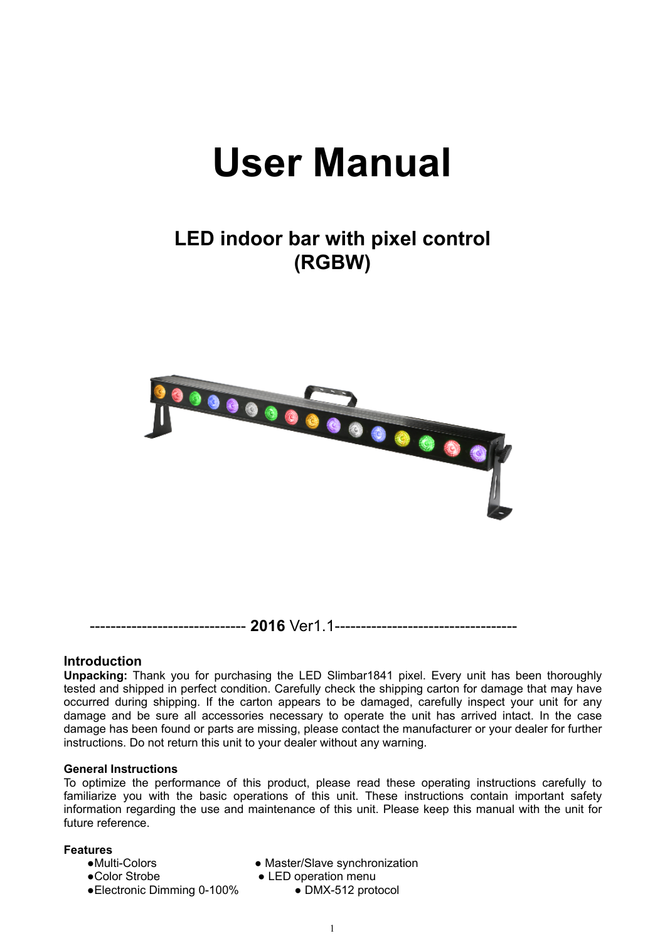# **User Manual**

## **LED indoor bar with pixel control (RGBW)**



**Introduction** 

**Unpacking:** Thank you for purchasing the LED Slimbar1841 pixel. Every unit has been thoroughly tested and shipped in perfect condition. Carefully check the shipping carton for damage that may have occurred during shipping. If the carton appears to be damaged, carefully inspect your unit for any damage and be sure all accessories necessary to operate the unit has arrived intact. In the case damage has been found or parts are missing, please contact the manufacturer or your dealer for further instructions. Do not return this unit to your dealer without any warning.

#### **General Instructions**

To optimize the performance of this product, please read these operating instructions carefully to familiarize you with the basic operations of this unit. These instructions contain important safety information regarding the use and maintenance of this unit. Please keep this manual with the unit for future reference.

#### **Features**

- 
- 
- ●Multi-Colors Master/Slave synchronization
- ●Color Strobe ● LED operation menu
- ●Electronic Dimming 0-100% DMX-512 protocol
	-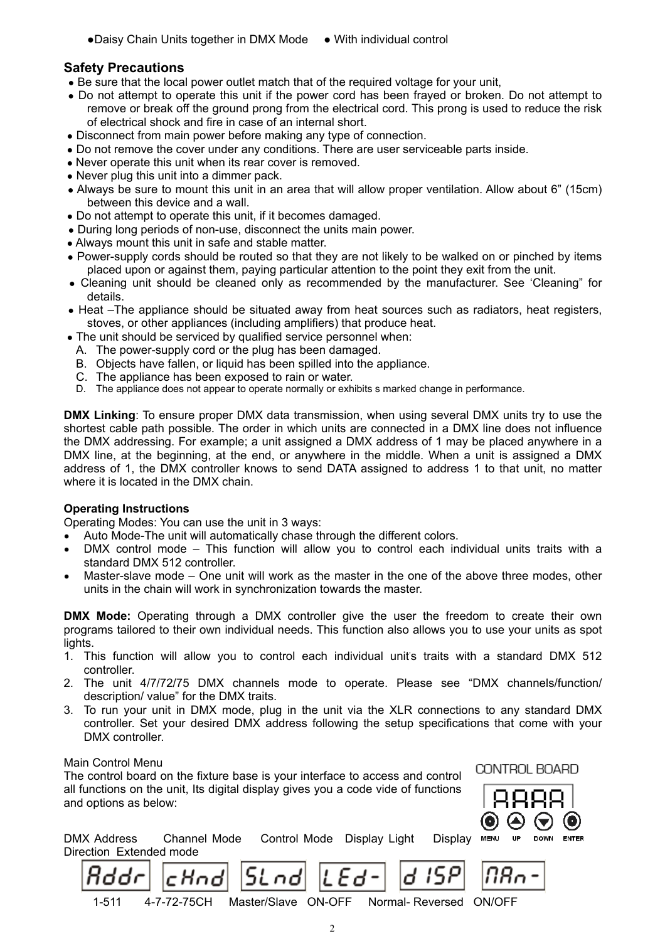## **Safety Precautions**

- Be sure that the local power outlet match that of the required voltage for your unit,
- Do not attempt to operate this unit if the power cord has been frayed or broken. Do not attempt to remove or break off the ground prong from the electrical cord. This prong is used to reduce the risk of electrical shock and fire in case of an internal short.
- Disconnect from main power before making any type of connection.
- Do not remove the cover under any conditions. There are user serviceable parts inside.
- Never operate this unit when its rear cover is removed.
- Never plug this unit into a dimmer pack.
- Always be sure to mount this unit in an area that will allow proper ventilation. Allow about 6" (15cm) between this device and a wall.
- Do not attempt to operate this unit, if it becomes damaged.
- During long periods of non-use, disconnect the units main power.
- Always mount this unit in safe and stable matter.
- Power-supply cords should be routed so that they are not likely to be walked on or pinched by items placed upon or against them, paying particular attention to the point they exit from the unit.
- Cleaning unit should be cleaned only as recommended by the manufacturer. See 'Cleaning" for details.
- Heat –The appliance should be situated away from heat sources such as radiators, heat registers, stoves, or other appliances (including amplifiers) that produce heat.
- The unit should be serviced by qualified service personnel when:
	- A. The power-supply cord or the plug has been damaged.
	- B. Objects have fallen, or liquid has been spilled into the appliance.
	- C. The appliance has been exposed to rain or water.
	- D. The appliance does not appear to operate normally or exhibits s marked change in performance.

**DMX Linking**: To ensure proper DMX data transmission, when using several DMX units try to use the shortest cable path possible. The order in which units are connected in a DMX line does not influence the DMX addressing. For example; a unit assigned a DMX address of 1 may be placed anywhere in a DMX line, at the beginning, at the end, or anywhere in the middle. When a unit is assigned a DMX address of 1, the DMX controller knows to send DATA assigned to address 1 to that unit, no matter where it is located in the DMX chain.

## **Operating Instructions**

Operating Modes: You can use the unit in 3 ways:

cHodl

- Auto Mode-The unit will automatically chase through the different colors.
- $DMX$  control mode This function will allow you to control each individual units traits with a standard DMX 512 controller.
- Master-slave mode One unit will work as the master in the one of the above three modes, other units in the chain will work in synchronization towards the master.

**DMX Mode:** Operating through a DMX controller give the user the freedom to create their own programs tailored to their own individual needs. This function also allows you to use your units as spot lights.

- 1. This function will allow you to control each individual unit' s traits with a standard DMX 512 controller.
- 2. The unit 4/7/72/75 DMX channels mode to operate. Please see "DMX channels/function/ description/ value" for the DMX traits.
- 3. To run your unit in DMX mode, plug in the unit via the XLR connections to any standard DMX controller. Set your desired DMX address following the setup specifications that come with your DMX controller.

#### Main Control Menu

The control board on the fixture base is your interface to access and control all functions on the unit, Its digital display gives you a code vide of functions and options as below:



CONTROL BOARD

| DMX Address             | Channel Mode Control Mode Display Light Display ME |  |  |
|-------------------------|----------------------------------------------------|--|--|
| Direction Extended mode |                                                    |  |  |
|                         |                                                    |  |  |

5L nd



1-511 4-7-72-75CH Master/Slave ON-OFF Normal- Reversed ON/OFF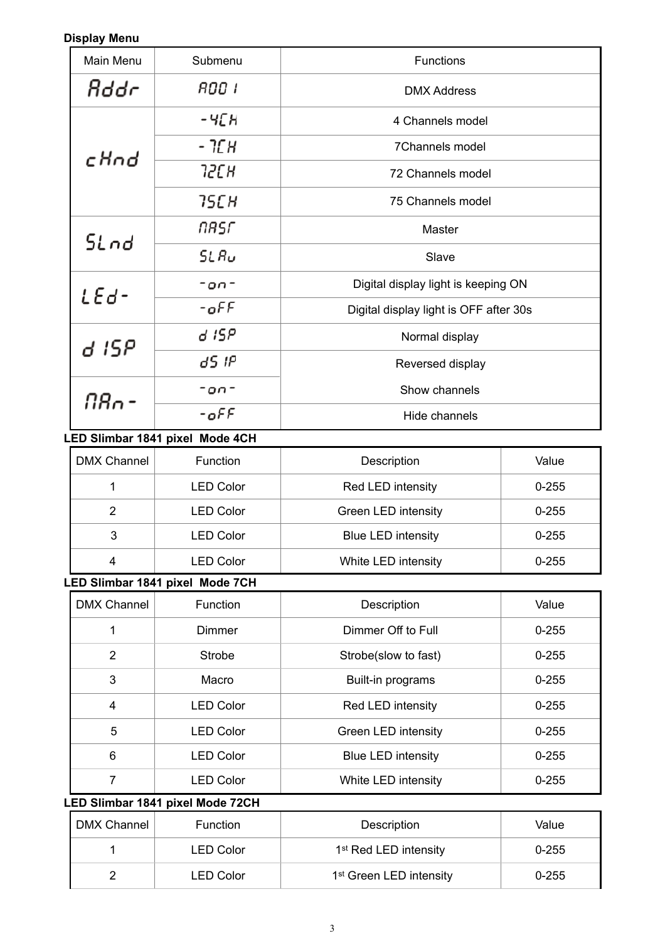## **Display Menu**

| Main Menu          | Submenu                          | <b>Functions</b>                       |           |
|--------------------|----------------------------------|----------------------------------------|-----------|
| Rddr               | 800 I                            | <b>DMX Address</b>                     |           |
|                    | -чЕн                             | 4 Channels model                       |           |
|                    | - 1СН                            | 7Channels model                        |           |
| cHnd               | 72C H                            | 72 Channels model                      |           |
|                    | 75C H                            | 75 Channels model                      |           |
|                    | NASF                             | Master                                 |           |
| SLnd               | SLRu                             | Slave                                  |           |
|                    | $-00-$                           | Digital display light is keeping ON    |           |
| LEd-               | -off                             | Digital display light is OFF after 30s |           |
| d 15P              | d ISP                            | Normal display                         |           |
|                    | 85 IP                            | Reversed display                       |           |
| N8o -              | -on-                             | Show channels                          |           |
|                    | $-$ off                          | Hide channels                          |           |
|                    | LED Slimbar 1841 pixel Mode 4CH  |                                        |           |
| <b>DMX Channel</b> | Function                         | Description                            | Value     |
| $\mathbf{1}$       | <b>LED Color</b>                 | Red LED intensity                      | $0 - 255$ |
| $\overline{2}$     | <b>LED Color</b>                 | Green LED intensity                    | $0 - 255$ |
| $\mathfrak{B}$     | <b>LED Color</b>                 | <b>Blue LED intensity</b>              | $0 - 255$ |
| $\overline{4}$     | <b>LED Color</b>                 | White LED intensity                    | $0 - 255$ |
|                    | LED Slimbar 1841 pixel Mode 7CH  |                                        |           |
| <b>DMX Channel</b> | Function                         | Description                            | Value     |
| 1                  | <b>Dimmer</b>                    | Dimmer Off to Full                     | $0 - 255$ |
| $\overline{2}$     | <b>Strobe</b>                    | Strobe(slow to fast)                   | $0 - 255$ |
| 3                  | Macro                            | Built-in programs                      | $0 - 255$ |
| 4                  | <b>LED Color</b>                 | Red LED intensity                      | $0 - 255$ |
| 5                  | <b>LED Color</b>                 | Green LED intensity                    | $0 - 255$ |
| 6                  | <b>LED Color</b>                 | <b>Blue LED intensity</b>              | $0 - 255$ |
| $\overline{7}$     | <b>LED Color</b>                 | White LED intensity                    | $0 - 255$ |
|                    | LED Slimbar 1841 pixel Mode 72CH |                                        |           |
| <b>DMX Channel</b> | Function                         | Description                            | Value     |
| 1                  | <b>LED Color</b>                 | 1 <sup>st</sup> Red LED intensity      | $0 - 255$ |

2 LED Color 1st Green LED intensity 10-255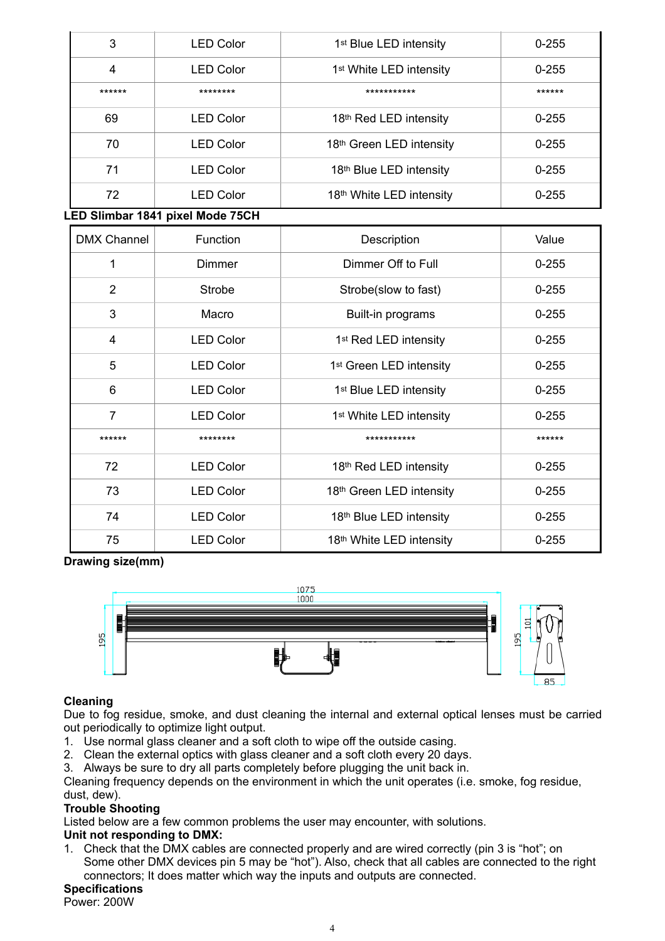| 3                       | <b>LED Color</b>                 | 1 <sup>st</sup> Blue LED intensity  | $0 - 255$ |
|-------------------------|----------------------------------|-------------------------------------|-----------|
| $\overline{\mathbf{4}}$ | <b>LED Color</b>                 | 1 <sup>st</sup> White LED intensity | $0 - 255$ |
| ******                  | ********                         | ***********                         | ******    |
| 69                      | <b>LED Color</b>                 | 18th Red LED intensity              | $0 - 255$ |
| 70                      | <b>LED Color</b>                 | 18th Green LED intensity            | $0 - 255$ |
| 71                      | <b>LED Color</b>                 | 18th Blue LED intensity             | $0 - 255$ |
| 72                      | <b>LED Color</b>                 | 18th White LED intensity            | $0 - 255$ |
|                         | LED Slimbar 1841 pixel Mode 75CH |                                     |           |
| <b>DMX Channel</b>      | Function                         | Description                         | Value     |
| 1                       | Dimmer                           | Dimmer Off to Full                  | $0 - 255$ |
| $\overline{2}$          | <b>Strobe</b>                    | Strobe(slow to fast)                | $0 - 255$ |
| 3                       | Macro                            | Built-in programs                   | $0 - 255$ |
| $\overline{\mathbf{4}}$ | <b>LED Color</b>                 | 1 <sup>st</sup> Red LED intensity   | $0 - 255$ |
| 5                       | <b>LED Color</b>                 | 1 <sup>st</sup> Green LED intensity | $0 - 255$ |
| 6                       | <b>LED Color</b>                 | 1 <sup>st</sup> Blue LED intensity  | $0 - 255$ |
| $\overline{7}$          | <b>LED Color</b>                 | 1 <sup>st</sup> White LED intensity | $0 - 255$ |
| ******                  | ********                         | ***********                         | ******    |
| 72                      | <b>LED Color</b>                 | 18th Red LED intensity              | $0 - 255$ |
| 73                      | <b>LED Color</b>                 | 18th Green LED intensity            | $0 - 255$ |
| 74                      | <b>LED Color</b>                 | 18th Blue LED intensity             | $0 - 255$ |
| 75                      | <b>LED Color</b>                 | 18th White LED intensity            | $0 - 255$ |

**Drawing size(mm)** 



## **Cleaning**

Due to fog residue, smoke, and dust cleaning the internal and external optical lenses must be carried out periodically to optimize light output.

- 1. Use normal glass cleaner and a soft cloth to wipe off the outside casing.
- 2. Clean the external optics with glass cleaner and a soft cloth every 20 days.
- 3. Always be sure to dry all parts completely before plugging the unit back in.

Cleaning frequency depends on the environment in which the unit operates (i.e. smoke, fog residue, dust, dew).

## **Trouble Shooting**

Listed below are a few common problems the user may encounter, with solutions.

## **Unit not responding to DMX:**

1. Check that the DMX cables are connected properly and are wired correctly (pin 3 is "hot"; on Some other DMX devices pin 5 may be "hot"). Also, check that all cables are connected to the right connectors; It does matter which way the inputs and outputs are connected.

## **Specifications**

Power: 200W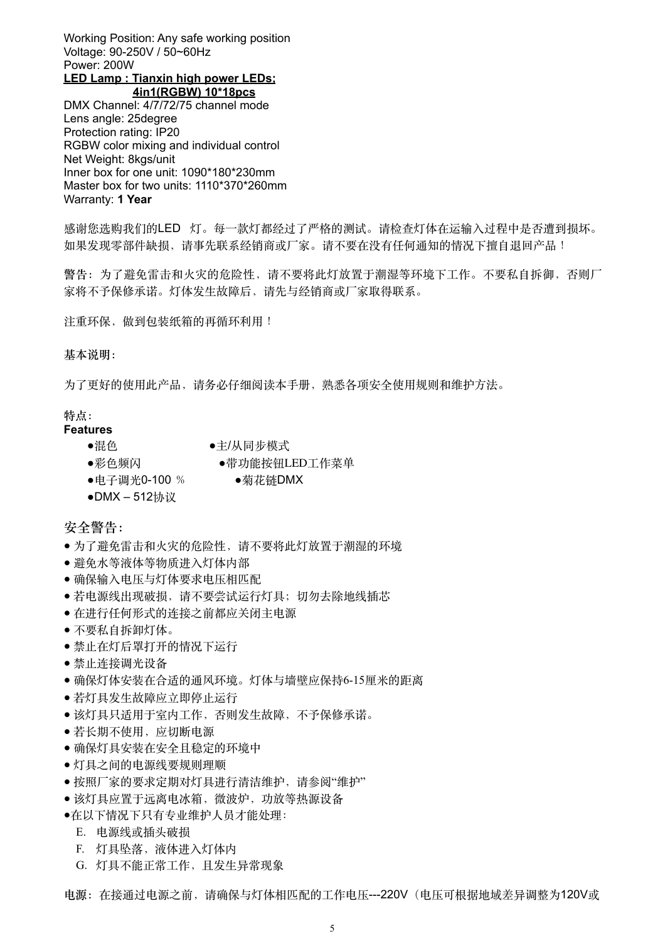Working Position: Any safe working position Voltage: 90-250V / 50~60Hz Power: 200W **LED Lamp : Tianxin high power LEDs;** 

**4in1(RGBW) 10\*18pcs**  DMX Channel: 4/7/72/75 channel mode Lens angle: 25degree Protection rating: IP20 RGBW color mixing and individual control Net Weight: 8kgs/unit Inner box for one unit: 1090\*180\*230mm Master box for two units: 1110\*370\*260mm Warranty: **1 Year** 

感谢您选购我们的LED 灯。每一款灯都经过了严格的测试。请检查灯体在运输入过程中是否遭到损坏。 如果发现零部件缺损,请事先联系经销商或厂家。请不要在没有任何通知的情况下擅自退回产品!

警告: 为了避免雷击和火灾的危险性, 请不要将此灯放置于潮湿等环境下工作。不要私自拆御, 否则厂 家将不予保修承诺。灯体发生故障后,请先与经销商或厂家取得联系。

注重环保,做到包装纸箱的再循环利用!

#### **基本说明:**

为了更好的使用此产品,请务必仔细阅读本手册,熟悉各项安全使用规则和维护方法。

#### **特点:**

- **Features** 
	- ●混色 ●主/从同步模式
	- ●彩色频闪 ●带功能按钮LED工作菜单
	- ●电子调光0-100 % ●菊花链DMX
	- ●DMX 512协议

#### **安全警告:**

- 为了避免雷击和火灾的危险性, 请不要将此灯放置于潮湿的环境
- 避免水等液体等物质进入灯体内部
- 确保输入电压与灯体要求电压相匹配
- 若电源线出现破损,请不要尝试运行灯具;切勿去除地线插芯
- 在进⾏任何形式的连接之前都应关闭主电源
- 不要私⾃拆卸灯体。
- 禁止在灯后罩打开的情况下运行
- **●** 禁⽌连接调光设备
- 确保灯体安装在合适的通风环境。灯体与墙壁应保持6-15厘米的距离
- 若灯具发生故障应立即停止运行
- 该灯具只适用于室内工作, 否则发生故障, 不予保修承诺。
- 若长期不使⽤,应切断电源
- 确保灯具安装在安全且稳定的环境中
- 灯具之间的电源线要规则理顺
- 按照厂家的要求定期对灯具进行清洁维护, 请参阅"维护"
- 该灯具应置于远离电冰箱, 微波炉, 功放等热源设备
- ●在以下情况下只有专业维护⼈员才能处理:
	- E. 电源线或插头破损
	- F. 灯具坠落,液体进入灯体内
	- G. 灯具不能正常⼯作,且发⽣异常现象

**电源:**在接通过电源之前,请确保与灯体相匹配的⼯作电压---220V(电压可根据地域差异调整为120V或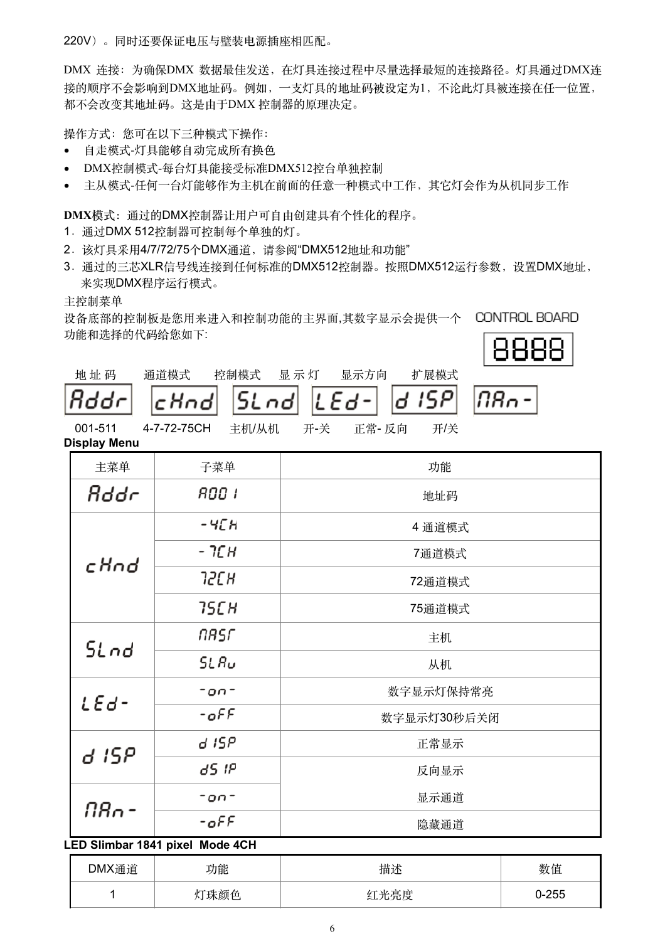220V)。同时还要保证电压与壁装电源插座相匹配。

DMX 连接:为确保DMX 数据最佳发送,在灯具连接过程中尽量选择最短的连接路径。灯具通过DMX连 接的顺序不会影响到DMX地址码。例如,一支灯具的地址码被设定为1,不论此灯具被连接在任一位置, 都不会改变其地址码。这是由于DMX 控制器的原理决定。

操作方式: 您可在以下三种模式下操作:

- 自走模式-灯具能够自动完成所有换色
- DMX控制模式-每台灯具能接受标准DMX512控台单独控制
- 主从模式-任何一台灯能够作为主机在前面的任意一种模式中工作,其它灯会作为从机同步工作

**DMX模式:**通过的DMX控制器让⽤户可⾃由创建具有个性化的程序。

- 1.通过DMX 512控制器可控制每个单独的灯。
- 2. 该灯具采用4/7/72/75个DMX通道, 请参阅"DMX512地址和功能"
- 3. 通过的三芯XLR信号线连接到任何标准的DMX512控制器。按照DMX512运行参数,设置DMX地址, 来实现DMX程序运⾏模式。

主控制菜单

设备底部的控制板是您用来进入和控制功能的主界面,其数字显示会提供一个 CONTROL BOARD 功能和选择的代码给您如下:



| 地址码 | 通道 |
|-----|----|
|     |    |

| 至制模式 | 显示灯 |  |  |
|------|-----|--|--|
|      |     |  |  |
|      |     |  |  |

道模式 控制模式 显 示 灯 显示方向 扩展模式 15 P d

$$
|\overline{BB_0^-}|
$$

001-511 4-7-72-75CH 主机/从机 开-关 正常- 反向 开/关 **Display Menu** 

| 主菜单                   | 子菜单                             | 功能          |     |  |
|-----------------------|---------------------------------|-------------|-----|--|
| Rddr                  | 800 I                           | 地址码         |     |  |
|                       | -458                            | 4 通道模式      |     |  |
| cHnd                  | - 7СН                           | 7通道模式       |     |  |
|                       | 72CH                            | 72通道模式      |     |  |
|                       | 75C H                           | 75通道模式      |     |  |
| SLnd                  | NASF                            | 主机          |     |  |
|                       | SL Ru                           | 从机          |     |  |
| $-00-$                |                                 | 数字显示灯保持常亮   |     |  |
| $LEd -$<br>$-$ off    |                                 | 数字显示灯30秒后关闭 |     |  |
| d ISP                 | d ISP                           | 正常显示        |     |  |
|                       | d5 IP                           | 反向显示        |     |  |
| <u> NRo -</u>         | 显示通道<br>$-00-$                  |             |     |  |
| $-$ <sub>o</sub> $FF$ |                                 | 隐藏通道        |     |  |
|                       | LED Slimbar 1841 pixel Mode 4CH |             |     |  |
| <b>DAMINE WA</b>      | $-1$ Ale                        | LILA N      | M/L |  |

| DMX通道 | 功能 | 描述                  | 数值     |
|-------|----|---------------------|--------|
|       | 鄧色 | 高唐<br>红<br>ᅭ<br>儿冗戊 | $-255$ |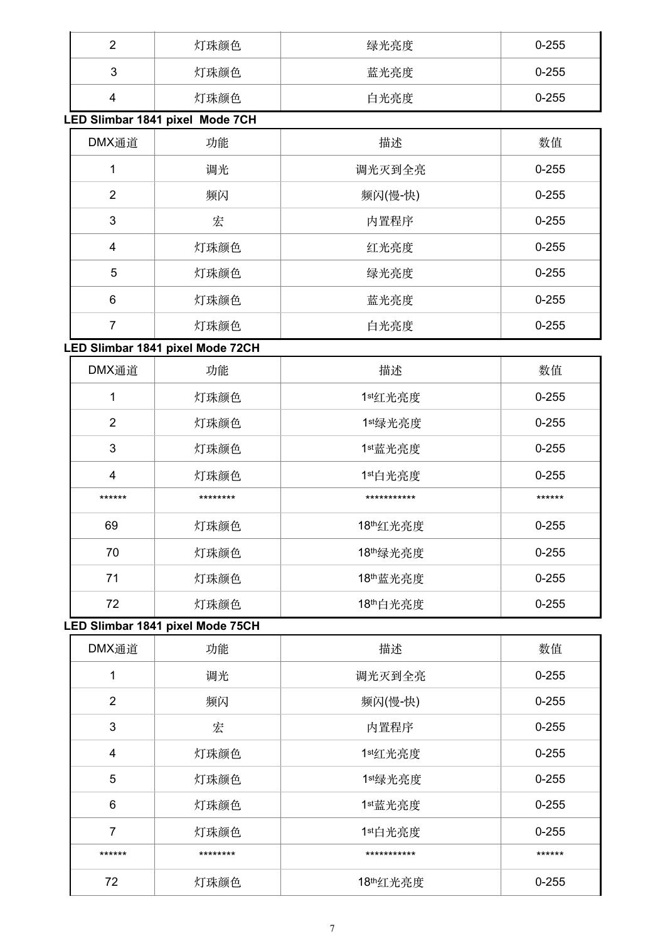| ◠<br>- | 灯珠颜色 | 绿光亮度 | $0 - 255$ |
|--------|------|------|-----------|
| 3      | 灯珠颜色 | 蓝光亮度 | $0 - 255$ |
| 4      | 灯珠颜色 | 白光亮度 | $0 - 255$ |

**LED Slimbar 1841 pixel Mode 7CH**

| DMX通道          | 功能   | 描述      | 数值        |
|----------------|------|---------|-----------|
|                | 调光   | 调光灭到全亮  | $0 - 255$ |
| $\overline{2}$ | 频闪   | 频闪(慢-快) | $0 - 255$ |
| 3              | 宏    | 内置程序    | $0 - 255$ |
| 4              | 灯珠颜色 | 红光亮度    | $0 - 255$ |
| 5              | 灯珠颜色 | 绿光亮度    | $0 - 255$ |
| 6              | 灯珠颜色 | 蓝光亮度    | $0 - 255$ |
| 7              | 灯珠颜色 | 白光亮度    | $0 - 255$ |

## **LED Slimbar 1841 pixel Mode 72CH**

| DMX通道          | 功能       | 描述          | 数值        |
|----------------|----------|-------------|-----------|
| 1              | 灯珠颜色     | 1st红光亮度     | $0 - 255$ |
| $\overline{2}$ | 灯珠颜色     | 1st绿光亮度     | $0 - 255$ |
| 3              | 灯珠颜色     | 1st蓝光亮度     | $0 - 255$ |
| 4              | 灯珠颜色     | 1st白光亮度     | $0 - 255$ |
| ******         | ******** | *********** | ******    |
| 69             | 灯珠颜色     | 18th红光亮度    | $0 - 255$ |
| 70             | 灯珠颜色     | 18th绿光亮度    | $0 - 255$ |
| 71             | 灯珠颜色     | 18th蓝光亮度    | $0 - 255$ |
| 72             | 灯珠颜色     | 18th白光亮度    | $0 - 255$ |

## **LED Slimbar 1841 pixel Mode 75CH**

| DMX通道          | 功能       | 描述          | 数值        |
|----------------|----------|-------------|-----------|
| 1              | 调光       | 调光灭到全亮      | $0 - 255$ |
| $\overline{2}$ | 频闪       | 频闪(慢-快)     | $0 - 255$ |
| 3              | 宏        | 内置程序        | $0 - 255$ |
| $\overline{4}$ | 灯珠颜色     | 1st红光亮度     | $0 - 255$ |
| 5              | 灯珠颜色     | 1st绿光亮度     | $0 - 255$ |
| 6              | 灯珠颜色     | 1st蓝光亮度     | $0 - 255$ |
| 7              | 灯珠颜色     | 1st白光亮度     | $0 - 255$ |
| ******         | ******** | *********** | ******    |
| 72             | 灯珠颜色     | 18th红光亮度    | $0 - 255$ |